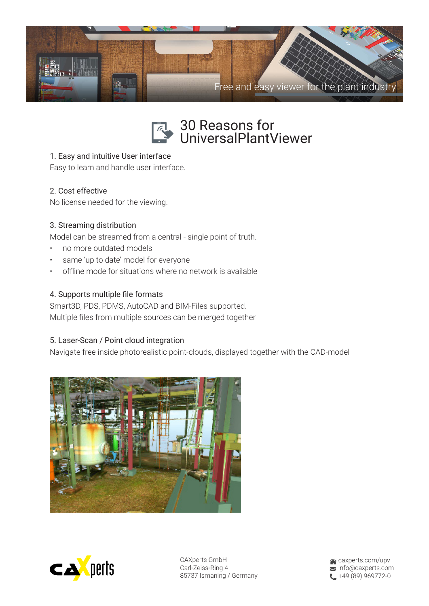



# 1. Easy and intuitive User interface

Easy to learn and handle user interface.

# 2. Cost effective

No license needed for the viewing.

### 3. Streaming distribution

Model can be streamed from a central - single point of truth.

- no more outdated models
- same 'up to date' model for everyone
- offline mode for situations where no network is available

### 4. Supports multiple file formats

Smart3D, PDS, PDMS, AutoCAD and BIM-Files supported. Multiple files from multiple sources can be merged together

### 5. Laser-Scan / Point cloud integration

Navigate free inside photorealistic point-clouds, displayed together with the CAD-model





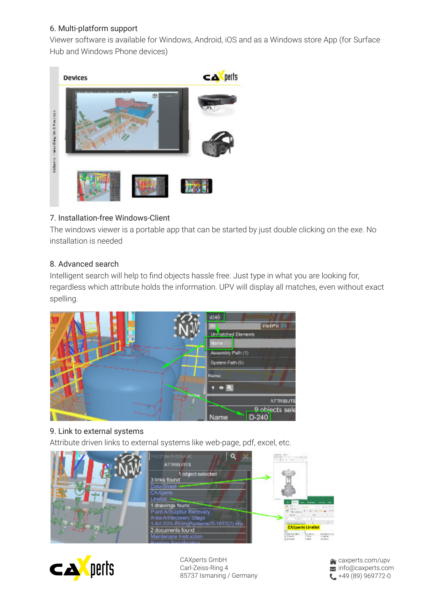# 6. Multi-platform support

Viewer software is available for Windows, Android, iOS and as a Windows store App (for Surface Hub and Windows Phone devices)



# 7. Installation-free Windows-Client

The windows viewer is a portable app that can be started by just double clicking on the exe. No installation is needed

# 8. Advanced search

Intelligent search will help to find objects hassle free. Just type in what you are looking for, regardless which attribute holds the information. UPV will display all matches, even without exact spelling.



# 9. Link to external systems

Attribute driven links to external systems like web-page, pdf, excel, etc.





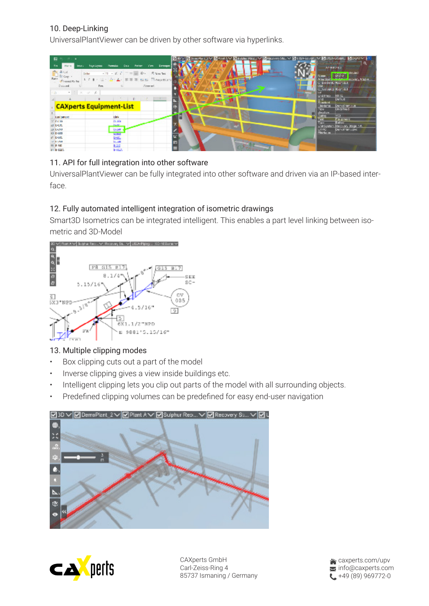# 10. Deep-Linking

UniversalPlantViewer can be driven by other software via hyperlinks.



# 11. API for full integration into other software

UniversalPlantViewer can be fully integrated into other software and driven via an IP-based interface.

# 12. Fully automated intelligent integration of isometric drawings

Smart3D Isometrics can be integrated intelligent. This enables a part level linking between isometric and 3D-Model



# 13. Multiple clipping modes

- Box clipping cuts out a part of the model
- Inverse clipping gives a view inside buildings etc.
- Intelligent clipping lets you clip out parts of the model with all surrounding objects.
- Predefined clipping volumes can be predefined for easy end-user navigation





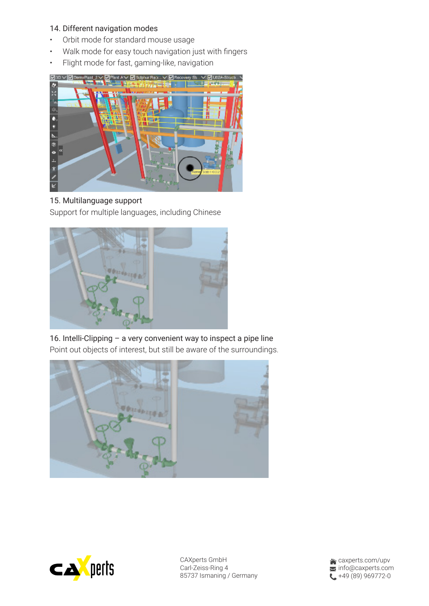#### 14. Different navigation modes

- Orbit mode for standard mouse usage
- Walk mode for easy touch navigation just with fingers
- Flight mode for fast, gaming-like, navigation



### 15. Multilanguage support

Support for multiple languages, including Chinese



16. Intelli-Clipping – a very convenient way to inspect a pipe line Point out objects of interest, but still be aware of the surroundings.





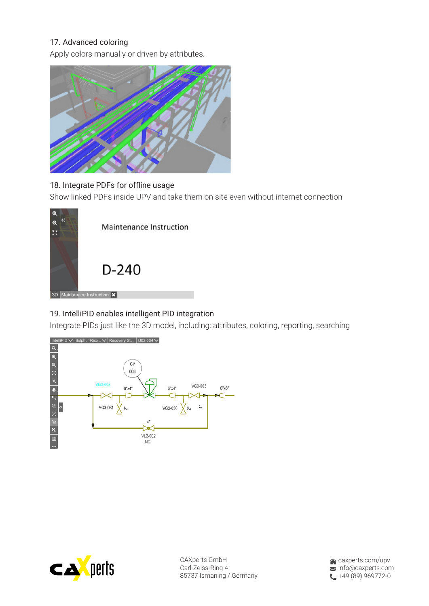### 17. Advanced coloring

Apply colors manually or driven by attributes.



# 18. Integrate PDFs for offline usage

Show linked PDFs inside UPV and take them on site even without internet connection



# 19. IntelliPID enables intelligent PID integration

Integrate PIDs just like the 3D model, including: attributes, coloring, reporting, searching





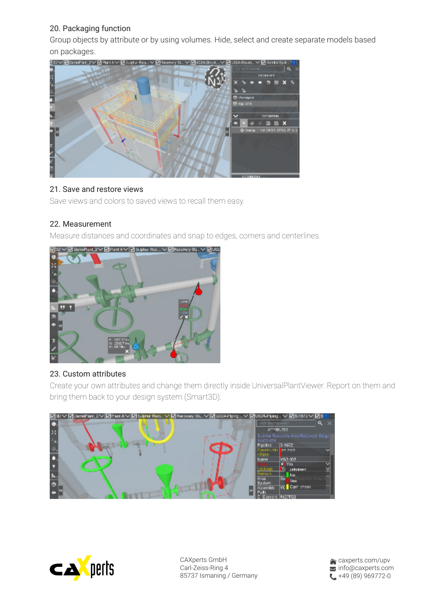# 20. Packaging function

Group objects by attribute or by using volumes. Hide, select and create separate models based on packages.



#### 21. Save and restore views

Save views and colors to saved views to recall them easy.

### 22. Measurement

Measure distances and coordinates and snap to edges, corners and centerlines.



#### 23. Custom attributes

Create your own attributes and change them directly inside UniversalPlantViewer. Report on them and bring them back to your design system (Smart3D).





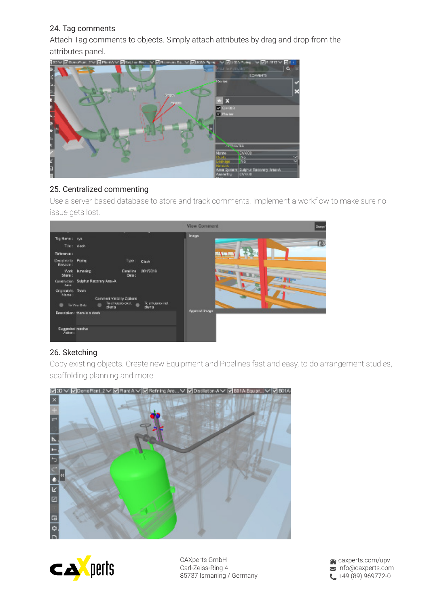### 24. Tag comments

Attach Tag comments to objects. Simply attach attributes by drag and drop from the attributes panel.



#### 25. Centralized commenting

Use a server-based database to store and track comments. Implement a workflow to make sure no issue gets lost.



# 26. Sketching

Copy existing objects. Create new Equipment and Pipelines fast and easy, to do arrangement studies, scaffolding planning and more.